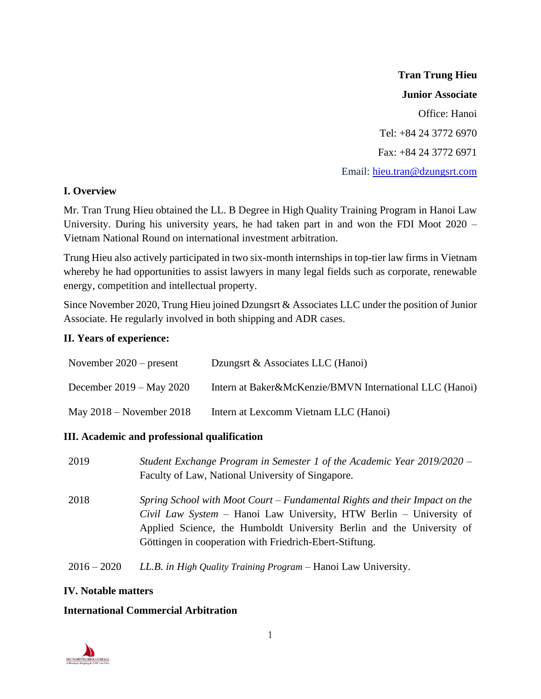**Tran Trung Hieu Junior Associate** Office: Hanoi Tel: +84 24 3772 6970 Fax: +84 24 3772 6971 Email: [hieu.tran@dzungsrt.com](mailto:hieu.tran@dzungsrt.com)

### **I. Overview**

Mr. Tran Trung Hieu obtained the LL. B Degree in High Quality Training Program in Hanoi Law University. During his university years, he had taken part in and won the FDI Moot 2020 – Vietnam National Round on international investment arbitration.

Trung Hieu also actively participated in two six-month internships in top-tier law firms in Vietnam whereby he had opportunities to assist lawyers in many legal fields such as corporate, renewable energy, competition and intellectual property.

Since November 2020, Trung Hieu joined Dzungsrt & Associates LLC under the position of Junior Associate. He regularly involved in both shipping and ADR cases.

### **II. Years of experience:**

| November $2020$ – present  | Dzungsrt & Associates LLC (Hanoi)                       |
|----------------------------|---------------------------------------------------------|
| December $2019 - May 2020$ | Intern at Baker&McKenzie/BMVN International LLC (Hanoi) |
| May $2018$ – November 2018 | Intern at Lexcomm Vietnam LLC (Hanoi)                   |

# **III. Academic and professional qualification**

| 2019          | Student Exchange Program in Semester 1 of the Academic Year 2019/2020 –<br>Faculty of Law, National University of Singapore.                                                                                                                                                          |
|---------------|---------------------------------------------------------------------------------------------------------------------------------------------------------------------------------------------------------------------------------------------------------------------------------------|
| 2018          | Spring School with Moot Court – Fundamental Rights and their Impact on the<br>Civil Law System - Hanoi Law University, HTW Berlin - University of<br>Applied Science, the Humboldt University Berlin and the University of<br>Göttingen in cooperation with Friedrich-Ebert-Stiftung. |
| $2016 - 2020$ | LL.B. in High Quality Training Program – Hanoi Law University.                                                                                                                                                                                                                        |

#### **IV. Notable matters**

#### **International Commercial Arbitration**